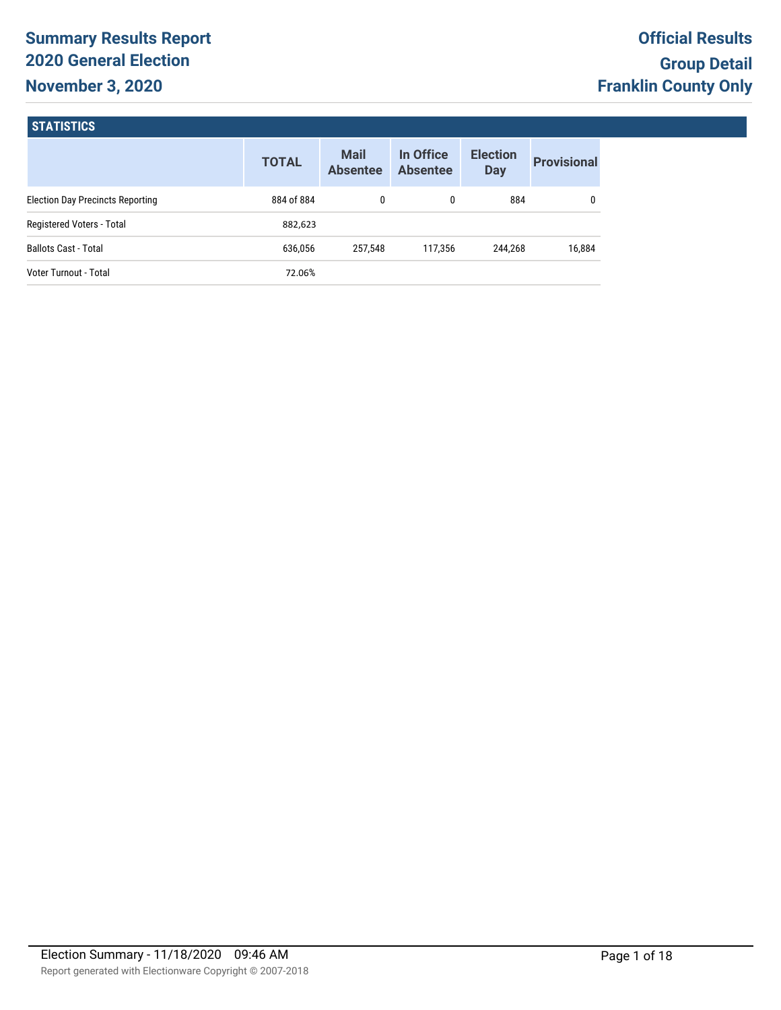# **Summary Results Report 2020 General Election November 3, 2020**

## **STATISTICS**

|                                         | <b>TOTAL</b> | <b>Mail</b><br><b>Absentee</b> | In Office<br><b>Absentee</b> | <b>Election</b><br><b>Day</b> | <b>Provisional</b> |
|-----------------------------------------|--------------|--------------------------------|------------------------------|-------------------------------|--------------------|
| <b>Election Day Precincts Reporting</b> | 884 of 884   | 0                              | 0                            | 884                           |                    |
| Registered Voters - Total               | 882,623      |                                |                              |                               |                    |
| <b>Ballots Cast - Total</b>             | 636.056      | 257.548                        | 117.356                      | 244.268                       | 16,884             |
| Voter Turnout - Total                   | 72.06%       |                                |                              |                               |                    |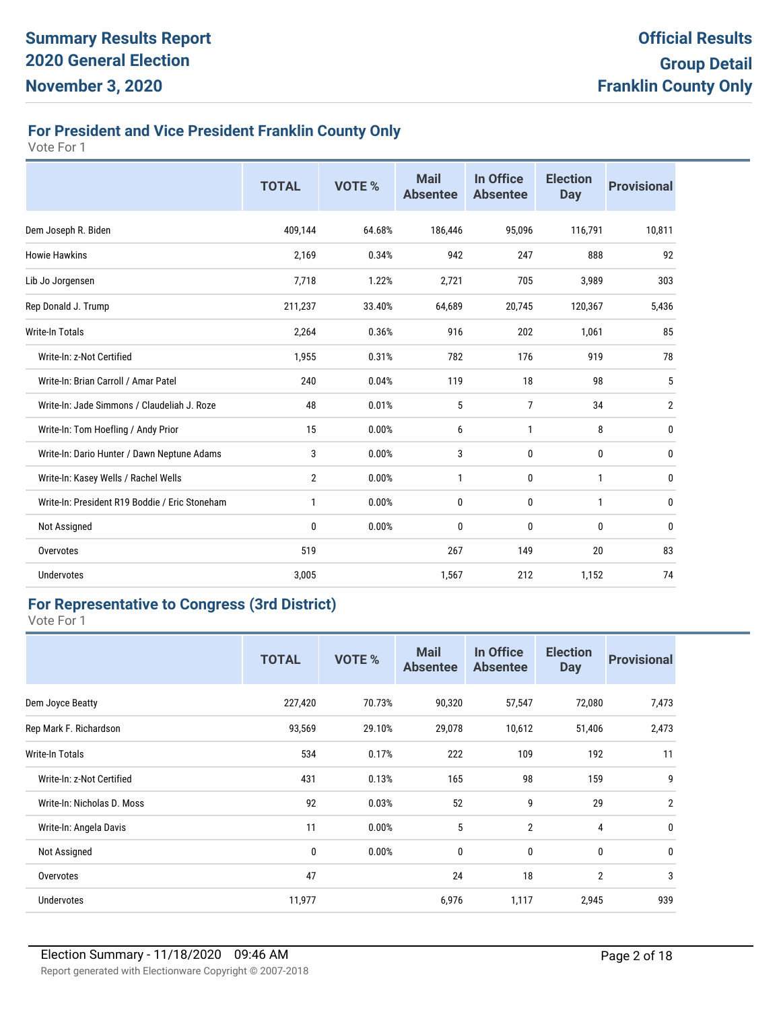## **For President and Vice President Franklin County Only**

Vote For 1

|                                                | <b>TOTAL</b>   | VOTE % | <b>Mail</b><br><b>Absentee</b> | In Office<br><b>Absentee</b> | <b>Election</b><br><b>Day</b> | <b>Provisional</b> |
|------------------------------------------------|----------------|--------|--------------------------------|------------------------------|-------------------------------|--------------------|
| Dem Joseph R. Biden                            | 409,144        | 64.68% | 186,446                        | 95,096                       | 116,791                       | 10,811             |
| <b>Howie Hawkins</b>                           | 2,169          | 0.34%  | 942                            | 247                          | 888                           | 92                 |
| Lib Jo Jorgensen                               | 7,718          | 1.22%  | 2,721                          | 705                          | 3,989                         | 303                |
| Rep Donald J. Trump                            | 211,237        | 33.40% | 64,689                         | 20,745                       | 120,367                       | 5,436              |
| <b>Write-In Totals</b>                         | 2,264          | 0.36%  | 916                            | 202                          | 1,061                         | 85                 |
| Write-In: z-Not Certified                      | 1,955          | 0.31%  | 782                            | 176                          | 919                           | 78                 |
| Write-In: Brian Carroll / Amar Patel           | 240            | 0.04%  | 119                            | 18                           | 98                            | 5                  |
| Write-In: Jade Simmons / Claudeliah J. Roze    | 48             | 0.01%  | 5                              | $\overline{7}$               | 34                            | $\overline{2}$     |
| Write-In: Tom Hoefling / Andy Prior            | 15             | 0.00%  | 6                              | $\mathbf{1}$                 | 8                             | 0                  |
| Write-In: Dario Hunter / Dawn Neptune Adams    | 3              | 0.00%  | 3                              | 0                            | 0                             | 0                  |
| Write-In: Kasey Wells / Rachel Wells           | $\overline{2}$ | 0.00%  | 1                              | 0                            | $\mathbf{1}$                  | 0                  |
| Write-In: President R19 Boddie / Eric Stoneham | $\mathbf{1}$   | 0.00%  | 0                              | 0                            | 1                             | 0                  |
| Not Assigned                                   | $\mathbf{0}$   | 0.00%  | 0                              | 0                            | 0                             | 0                  |
| Overvotes                                      | 519            |        | 267                            | 149                          | 20                            | 83                 |
| <b>Undervotes</b>                              | 3,005          |        | 1,567                          | 212                          | 1,152                         | 74                 |

#### **For Representative to Congress (3rd District)**

|                            | <b>TOTAL</b> | <b>VOTE %</b> | <b>Mail</b><br><b>Absentee</b> | In Office<br><b>Absentee</b> | <b>Election</b><br><b>Day</b> | <b>Provisional</b> |
|----------------------------|--------------|---------------|--------------------------------|------------------------------|-------------------------------|--------------------|
| Dem Joyce Beatty           | 227,420      | 70.73%        | 90,320                         | 57,547                       | 72,080                        | 7,473              |
| Rep Mark F. Richardson     | 93,569       | 29.10%        | 29,078                         | 10,612                       | 51,406                        | 2,473              |
| <b>Write-In Totals</b>     | 534          | 0.17%         | 222                            | 109                          | 192                           | 11                 |
| Write-In: z-Not Certified  | 431          | 0.13%         | 165                            | 98                           | 159                           | 9                  |
| Write-In: Nicholas D. Moss | 92           | 0.03%         | 52                             | 9                            | 29                            | $\overline{2}$     |
| Write-In: Angela Davis     | 11           | 0.00%         | 5                              | $\overline{2}$               | 4                             | 0                  |
| Not Assigned               | 0            | 0.00%         | $\mathbf{0}$                   | $\bf{0}$                     | 0                             | $\mathbf{0}$       |
| Overvotes                  | 47           |               | 24                             | 18                           | $\overline{2}$                | 3                  |
| <b>Undervotes</b>          | 11,977       |               | 6,976                          | 1,117                        | 2,945                         | 939                |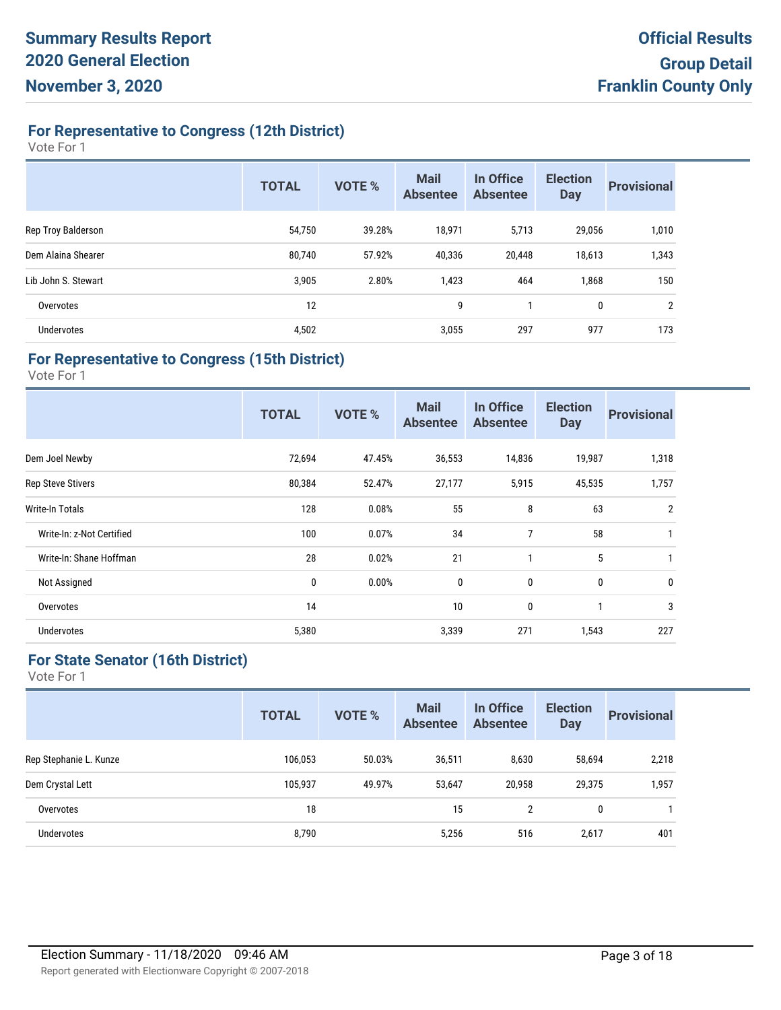**For Representative to Congress (12th District)**

Vote For 1

|                     | <b>TOTAL</b> | <b>VOTE %</b> | <b>Mail</b><br><b>Absentee</b> | In Office<br><b>Absentee</b> | <b>Election</b><br><b>Day</b> | <b>Provisional</b> |
|---------------------|--------------|---------------|--------------------------------|------------------------------|-------------------------------|--------------------|
| Rep Troy Balderson  | 54,750       | 39.28%        | 18,971                         | 5,713                        | 29,056                        | 1,010              |
| Dem Alaina Shearer  | 80,740       | 57.92%        | 40,336                         | 20,448                       | 18,613                        | 1,343              |
| Lib John S. Stewart | 3,905        | 2.80%         | 1,423                          | 464                          | 1,868                         | 150                |
| Overvotes           | 12           |               | 9                              |                              | 0                             | $\overline{2}$     |
| <b>Undervotes</b>   | 4,502        |               | 3,055                          | 297                          | 977                           | 173                |

#### **For Representative to Congress (15th District)**

Vote For 1

|                           | <b>TOTAL</b> | <b>VOTE %</b> | <b>Mail</b><br><b>Absentee</b> | In Office<br><b>Absentee</b> | <b>Election</b><br><b>Day</b> | <b>Provisional</b> |
|---------------------------|--------------|---------------|--------------------------------|------------------------------|-------------------------------|--------------------|
| Dem Joel Newby            | 72,694       | 47.45%        | 36,553                         | 14,836                       | 19,987                        | 1,318              |
| <b>Rep Steve Stivers</b>  | 80,384       | 52.47%        | 27,177                         | 5,915                        | 45,535                        | 1,757              |
| Write-In Totals           | 128          | 0.08%         | 55                             | 8                            | 63                            | $\overline{2}$     |
| Write-In: z-Not Certified | 100          | 0.07%         | 34                             | 7                            | 58                            |                    |
| Write-In: Shane Hoffman   | 28           | 0.02%         | 21                             |                              | 5                             |                    |
| Not Assigned              | 0            | 0.00%         | $\bf{0}$                       | 0                            | $\mathbf{0}$                  | $\mathbf{0}$       |
| Overvotes                 | 14           |               | 10                             | 0                            |                               | 3                  |
| <b>Undervotes</b>         | 5,380        |               | 3,339                          | 271                          | 1,543                         | 227                |

## **For State Senator (16th District)**

|                        | <b>TOTAL</b> | <b>VOTE %</b> | <b>Mail</b><br><b>Absentee</b> | In Office<br><b>Absentee</b> | <b>Election</b><br><b>Day</b> | <b>Provisional</b> |
|------------------------|--------------|---------------|--------------------------------|------------------------------|-------------------------------|--------------------|
| Rep Stephanie L. Kunze | 106,053      | 50.03%        | 36,511                         | 8,630                        | 58,694                        | 2,218              |
| Dem Crystal Lett       | 105,937      | 49.97%        | 53,647                         | 20,958                       | 29,375                        | 1,957              |
| Overvotes              | 18           |               | 15                             | 2                            | 0                             |                    |
| <b>Undervotes</b>      | 8,790        |               | 5,256                          | 516                          | 2,617                         | 401                |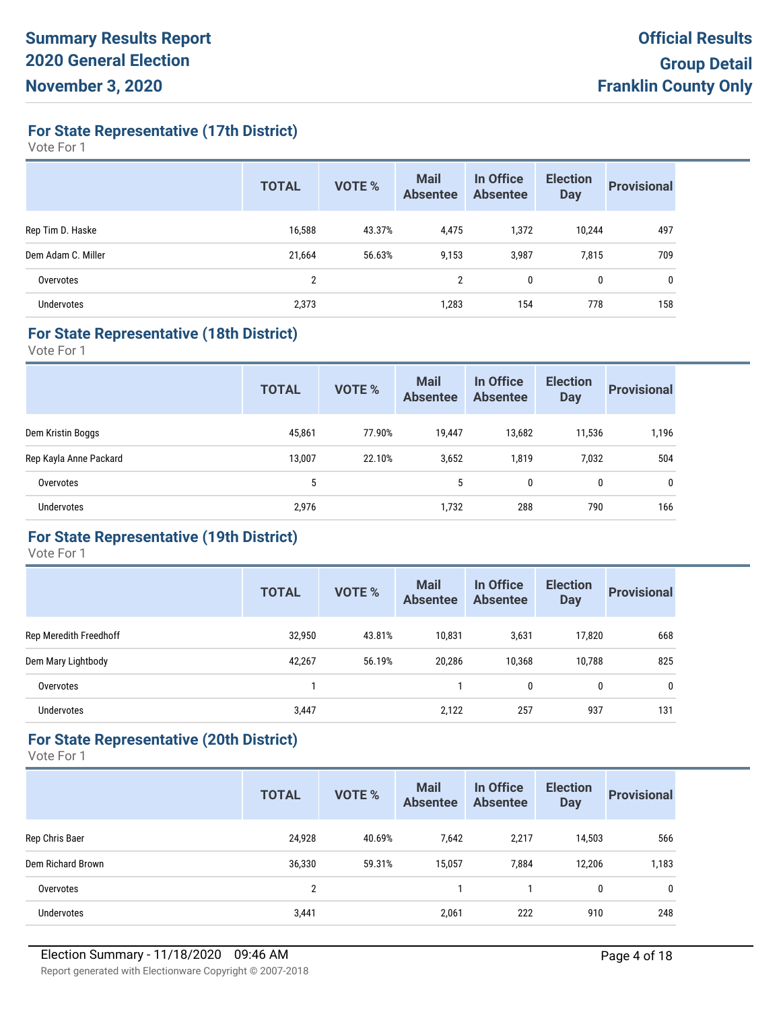**For State Representative (17th District)**

Vote For 1

|                    | <b>TOTAL</b>   | <b>VOTE %</b> | <b>Mail</b><br><b>Absentee</b> | In Office<br><b>Absentee</b> | <b>Election</b><br><b>Day</b> | <b>Provisional</b> |
|--------------------|----------------|---------------|--------------------------------|------------------------------|-------------------------------|--------------------|
| Rep Tim D. Haske   | 16,588         | 43.37%        | 4,475                          | 1,372                        | 10,244                        | 497                |
| Dem Adam C. Miller | 21,664         | 56.63%        | 9,153                          | 3,987                        | 7,815                         | 709                |
| Overvotes          | $\overline{2}$ |               | 2                              | 0                            | $\mathbf{0}$                  | $\mathbf{0}$       |
| <b>Undervotes</b>  | 2,373          |               | 1,283                          | 154                          | 778                           | 158                |

#### **For State Representative (18th District)**

Vote For 1

|                        | <b>TOTAL</b> | <b>VOTE %</b> | <b>Mail</b><br><b>Absentee</b> | In Office<br><b>Absentee</b> | <b>Election</b><br><b>Day</b> | <b>Provisional</b> |
|------------------------|--------------|---------------|--------------------------------|------------------------------|-------------------------------|--------------------|
| Dem Kristin Boggs      | 45,861       | 77.90%        | 19,447                         | 13,682                       | 11,536                        | 1,196              |
| Rep Kayla Anne Packard | 13,007       | 22.10%        | 3,652                          | 1,819                        | 7,032                         | 504                |
| Overvotes              | 5            |               | 5                              | 0                            | 0                             | 0                  |
| <b>Undervotes</b>      | 2,976        |               | 1,732                          | 288                          | 790                           | 166                |

#### **For State Representative (19th District)**

Vote For 1

|                        | <b>TOTAL</b> | <b>VOTE %</b> | <b>Mail</b><br><b>Absentee</b> | In Office<br><b>Absentee</b> | <b>Election</b><br><b>Day</b> | <b>Provisional</b> |
|------------------------|--------------|---------------|--------------------------------|------------------------------|-------------------------------|--------------------|
| Rep Meredith Freedhoff | 32,950       | 43.81%        | 10,831                         | 3,631                        | 17,820                        | 668                |
| Dem Mary Lightbody     | 42,267       | 56.19%        | 20,286                         | 10,368                       | 10.788                        | 825                |
| Overvotes              |              |               |                                | 0                            | 0                             | $\mathbf{0}$       |
| <b>Undervotes</b>      | 3,447        |               | 2,122                          | 257                          | 937                           | 131                |

## **For State Representative (20th District)**

|                   | <b>TOTAL</b>   | <b>VOTE %</b> | <b>Mail</b><br><b>Absentee</b> | In Office<br><b>Absentee</b> | <b>Election</b><br><b>Day</b> | <b>Provisional</b> |
|-------------------|----------------|---------------|--------------------------------|------------------------------|-------------------------------|--------------------|
| Rep Chris Baer    | 24,928         | 40.69%        | 7,642                          | 2,217                        | 14,503                        | 566                |
| Dem Richard Brown | 36,330         | 59.31%        | 15,057                         | 7,884                        | 12,206                        | 1,183              |
| Overvotes         | $\overline{2}$ |               |                                |                              | 0                             | 0                  |
| Undervotes        | 3,441          |               | 2,061                          | 222                          | 910                           | 248                |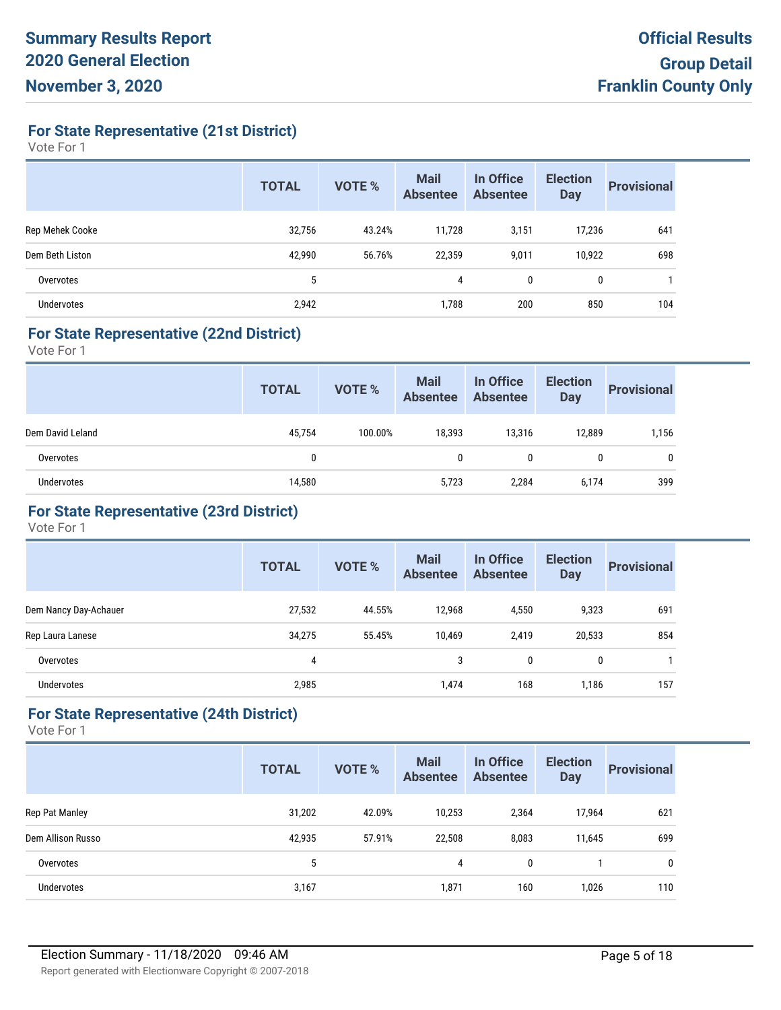**For State Representative (21st District)**

Vote For 1

|                   | <b>TOTAL</b> | <b>VOTE %</b> | <b>Mail</b><br><b>Absentee</b> | In Office<br><b>Absentee</b> | <b>Election</b><br><b>Day</b> | <b>Provisional</b> |
|-------------------|--------------|---------------|--------------------------------|------------------------------|-------------------------------|--------------------|
| Rep Mehek Cooke   | 32,756       | 43.24%        | 11,728                         | 3,151                        | 17,236                        | 641                |
| Dem Beth Liston   | 42,990       | 56.76%        | 22,359                         | 9,011                        | 10,922                        | 698                |
| Overvotes         | 5            |               | 4                              | 0                            | 0                             |                    |
| <b>Undervotes</b> | 2,942        |               | 1,788                          | 200                          | 850                           | 104                |

#### **For State Representative (22nd District)**

Vote For 1

|                   | <b>TOTAL</b> | VOTE %  | Mail<br>Absentee | In Office<br><b>Absentee</b> | <b>Election</b><br><b>Day</b> | <b>Provisional</b> |
|-------------------|--------------|---------|------------------|------------------------------|-------------------------------|--------------------|
| Dem David Leland  | 45,754       | 100.00% | 18,393           | 13.316                       | 12,889                        | 1,156              |
| Overvotes         | 0            |         | $\mathbf{0}$     | 0                            |                               | $\mathbf 0$        |
| <b>Undervotes</b> | 14,580       |         | 5,723            | 2,284                        | 6,174                         | 399                |

#### **For State Representative (23rd District)**

Vote For 1

|                       | <b>TOTAL</b> | <b>VOTE %</b> | <b>Mail</b><br><b>Absentee</b> | In Office<br><b>Absentee</b> | <b>Election</b><br><b>Day</b> | <b>Provisional</b> |
|-----------------------|--------------|---------------|--------------------------------|------------------------------|-------------------------------|--------------------|
| Dem Nancy Day-Achauer | 27,532       | 44.55%        | 12,968                         | 4,550                        | 9,323                         | 691                |
| Rep Laura Lanese      | 34,275       | 55.45%        | 10,469                         | 2,419                        | 20,533                        | 854                |
| Overvotes             | 4            |               | 3                              | 0                            | 0                             |                    |
| <b>Undervotes</b>     | 2,985        |               | 1,474                          | 168                          | 1,186                         | 157                |

#### **For State Representative (24th District)**

|                   | <b>TOTAL</b> | <b>VOTE %</b> | <b>Mail</b><br><b>Absentee</b> | In Office<br><b>Absentee</b> | <b>Election</b><br><b>Day</b> | <b>Provisional</b> |
|-------------------|--------------|---------------|--------------------------------|------------------------------|-------------------------------|--------------------|
| Rep Pat Manley    | 31,202       | 42.09%        | 10,253                         | 2,364                        | 17,964                        | 621                |
| Dem Allison Russo | 42,935       | 57.91%        | 22,508                         | 8,083                        | 11,645                        | 699                |
| Overvotes         | 5            |               | 4                              | 0                            |                               | 0                  |
| <b>Undervotes</b> | 3,167        |               | 1,871                          | 160                          | 1,026                         | 110                |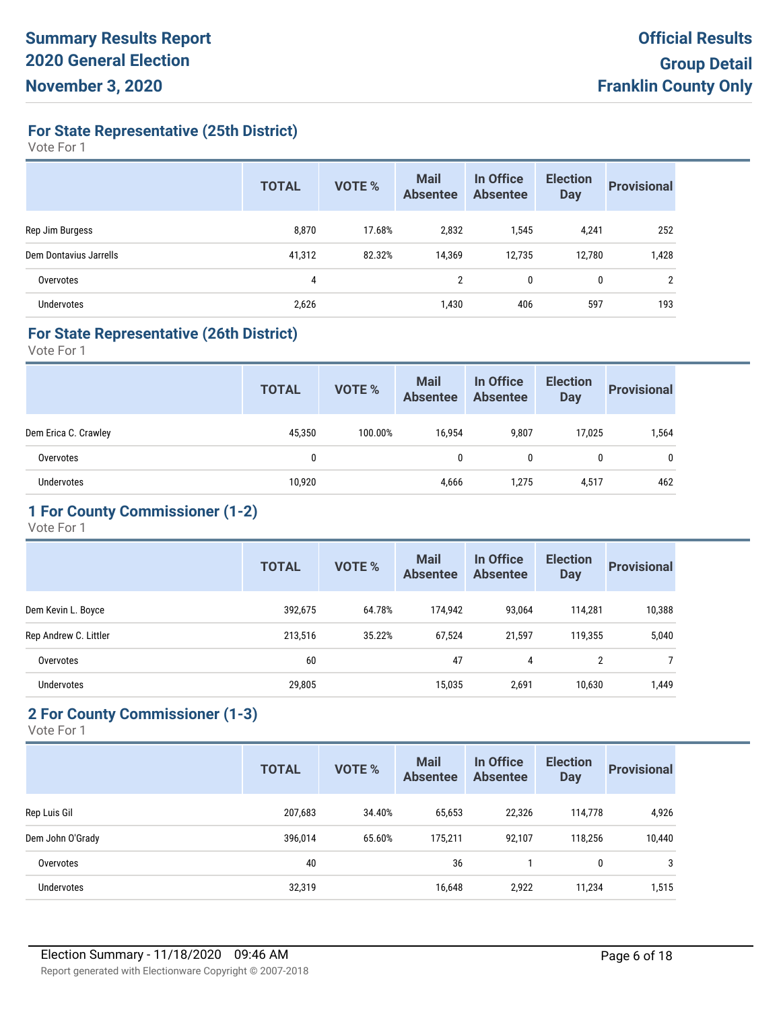**For State Representative (25th District)**

Vote For 1

|                        | <b>TOTAL</b> | <b>VOTE %</b> | <b>Mail</b><br><b>Absentee</b> | In Office<br><b>Absentee</b> | <b>Election</b><br><b>Day</b> | <b>Provisional</b> |
|------------------------|--------------|---------------|--------------------------------|------------------------------|-------------------------------|--------------------|
| Rep Jim Burgess        | 8,870        | 17.68%        | 2,832                          | 1,545                        | 4,241                         | 252                |
| Dem Dontavius Jarrells | 41,312       | 82.32%        | 14,369                         | 12,735                       | 12,780                        | 1,428              |
| Overvotes              | 4            |               | $\overline{2}$                 | 0                            | 0                             | $\overline{2}$     |
| <b>Undervotes</b>      | 2,626        |               | 1,430                          | 406                          | 597                           | 193                |

#### **For State Representative (26th District)**

Vote For 1

|                      | <b>TOTAL</b> | <b>VOTE %</b> | <b>Mail</b><br><b>Absentee</b> | In Office<br><b>Absentee</b> | <b>Election</b><br><b>Day</b> | <b>Provisional</b> |
|----------------------|--------------|---------------|--------------------------------|------------------------------|-------------------------------|--------------------|
| Dem Erica C. Crawley | 45,350       | 100.00%       | 16.954                         | 9,807                        | 17,025                        | 1,564              |
| Overvotes            | 0            |               | $\mathbf{0}$                   | $\mathbf{0}$                 |                               | $\mathbf{0}$       |
| Undervotes           | 10,920       |               | 4,666                          | 1,275                        | 4,517                         | 462                |

## **1 For County Commissioner (1-2)**

Vote For 1

|                       | <b>TOTAL</b> | <b>VOTE %</b> | <b>Mail</b><br><b>Absentee</b> | In Office<br><b>Absentee</b> | <b>Election</b><br><b>Day</b> | <b>Provisional</b> |
|-----------------------|--------------|---------------|--------------------------------|------------------------------|-------------------------------|--------------------|
| Dem Kevin L. Boyce    | 392,675      | 64.78%        | 174.942                        | 93,064                       | 114,281                       | 10,388             |
| Rep Andrew C. Littler | 213,516      | 35.22%        | 67,524                         | 21.597                       | 119,355                       | 5,040              |
| Overvotes             | 60           |               | 47                             | 4                            | $\overline{2}$                |                    |
| <b>Undervotes</b>     | 29,805       |               | 15,035                         | 2,691                        | 10,630                        | 1,449              |

# **2 For County Commissioner (1-3)**

|                   | <b>TOTAL</b> | <b>VOTE %</b> | <b>Mail</b><br><b>Absentee</b> | In Office<br><b>Absentee</b> | <b>Election</b><br><b>Day</b> | <b>Provisional</b> |
|-------------------|--------------|---------------|--------------------------------|------------------------------|-------------------------------|--------------------|
| Rep Luis Gil      | 207,683      | 34.40%        | 65,653                         | 22,326                       | 114,778                       | 4,926              |
| Dem John O'Grady  | 396,014      | 65.60%        | 175,211                        | 92,107                       | 118,256                       | 10,440             |
| Overvotes         | 40           |               | 36                             |                              | 0                             | 3                  |
| <b>Undervotes</b> | 32,319       |               | 16,648                         | 2,922                        | 11,234                        | 1,515              |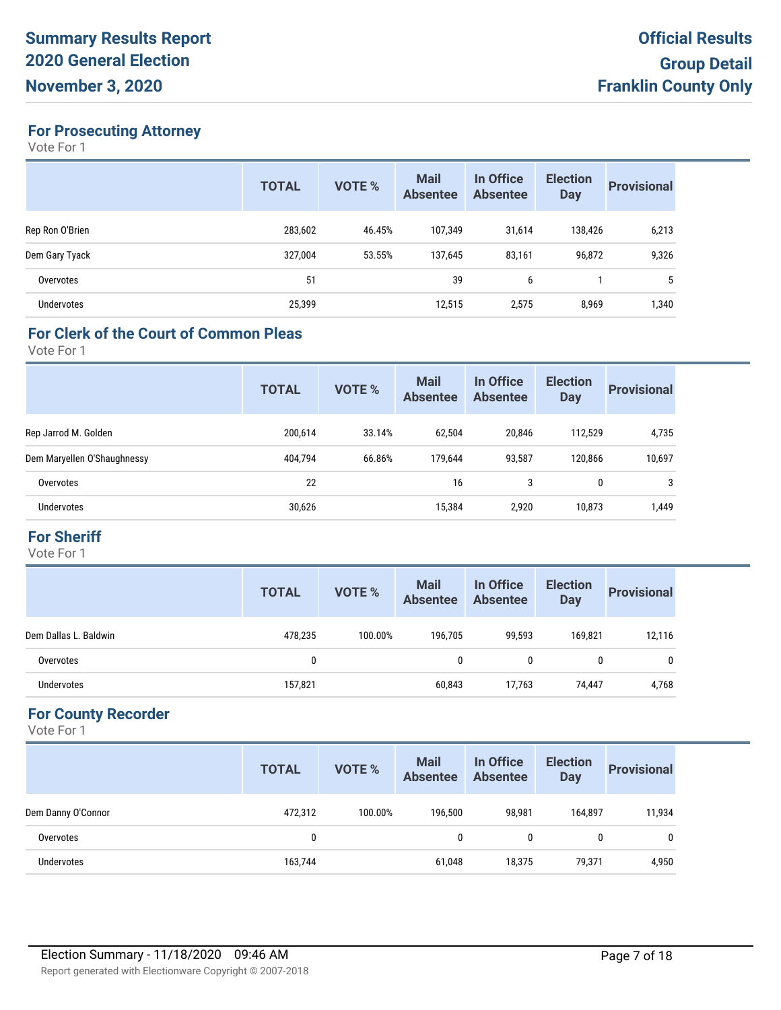## **For Prosecuting Attorney**

Vote For 1

|                   | <b>TOTAL</b> | <b>VOTE %</b> | <b>Mail</b><br><b>Absentee</b> | In Office<br><b>Absentee</b> | <b>Election</b><br><b>Day</b> | <b>Provisional</b> |
|-------------------|--------------|---------------|--------------------------------|------------------------------|-------------------------------|--------------------|
| Rep Ron O'Brien   | 283,602      | 46.45%        | 107,349                        | 31,614                       | 138,426                       | 6,213              |
| Dem Gary Tyack    | 327,004      | 53.55%        | 137,645                        | 83,161                       | 96,872                        | 9,326              |
| Overvotes         | 51           |               | 39                             | 6                            |                               | 5                  |
| <b>Undervotes</b> | 25,399       |               | 12,515                         | 2,575                        | 8,969                         | 1,340              |

#### **For Clerk of the Court of Common Pleas**

Vote For 1

|                             | <b>TOTAL</b> | <b>VOTE %</b> | <b>Mail</b><br><b>Absentee</b> | In Office<br><b>Absentee</b> | <b>Election</b><br><b>Day</b> | <b>Provisional</b> |
|-----------------------------|--------------|---------------|--------------------------------|------------------------------|-------------------------------|--------------------|
| Rep Jarrod M. Golden        | 200,614      | 33.14%        | 62,504                         | 20,846                       | 112,529                       | 4,735              |
| Dem Maryellen O'Shaughnessy | 404,794      | 66.86%        | 179,644                        | 93,587                       | 120,866                       | 10,697             |
| Overvotes                   | 22           |               | 16                             | 3                            | 0                             | 3                  |
| Undervotes                  | 30,626       |               | 15.384                         | 2,920                        | 10,873                        | 1,449              |

#### **For Sheriff**

Vote For 1

|                       | <b>TOTAL</b> | <b>VOTE %</b> | <b>Mail</b><br><b>Absentee</b> | In Office<br><b>Absentee</b> | <b>Election</b><br><b>Day</b> | <b>Provisional</b> |
|-----------------------|--------------|---------------|--------------------------------|------------------------------|-------------------------------|--------------------|
| Dem Dallas L. Baldwin | 478,235      | 100.00%       | 196,705                        | 99,593                       | 169,821                       | 12,116             |
| Overvotes             | 0            |               |                                | 0                            | 0                             |                    |
| Undervotes            | 157,821      |               | 60,843                         | 17,763                       | 74,447                        | 4,768              |

#### **For County Recorder**

|                    | <b>TOTAL</b> | <b>VOTE %</b> | <b>Mail</b><br><b>Absentee</b> | In Office<br><b>Absentee</b> | <b>Election</b><br><b>Day</b> | <b>Provisional</b> |
|--------------------|--------------|---------------|--------------------------------|------------------------------|-------------------------------|--------------------|
| Dem Danny O'Connor | 472,312      | 100.00%       | 196.500                        | 98,981                       | 164,897                       | 11,934             |
| Overvotes          |              |               | 0                              | $\mathbf{0}$                 | 0                             | 0                  |
| <b>Undervotes</b>  | 163,744      |               | 61,048                         | 18,375                       | 79,371                        | 4,950              |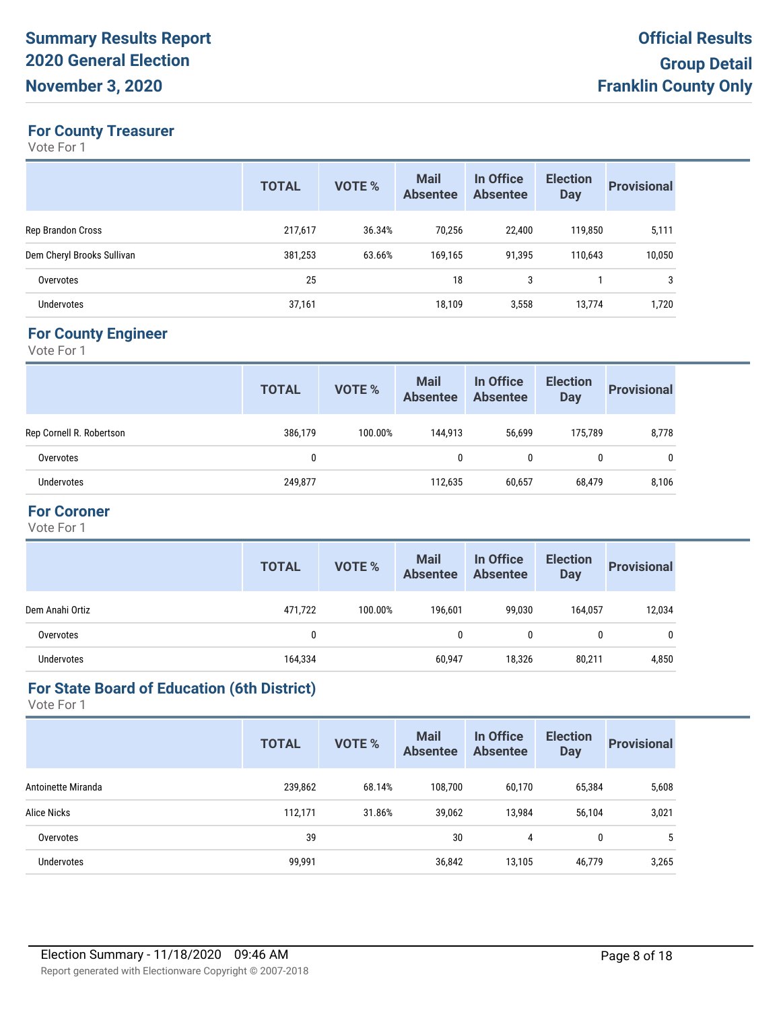## **For County Treasurer**

Vote For 1

|                            | <b>TOTAL</b> | <b>VOTE %</b> | <b>Mail</b><br><b>Absentee</b> | In Office<br><b>Absentee</b> | <b>Election</b><br><b>Day</b> | <b>Provisional</b> |
|----------------------------|--------------|---------------|--------------------------------|------------------------------|-------------------------------|--------------------|
| <b>Rep Brandon Cross</b>   | 217,617      | 36.34%        | 70,256                         | 22,400                       | 119,850                       | 5,111              |
| Dem Cheryl Brooks Sullivan | 381,253      | 63.66%        | 169,165                        | 91,395                       | 110,643                       | 10,050             |
| Overvotes                  | 25           |               | 18                             | 3                            |                               | 3                  |
| <b>Undervotes</b>          | 37,161       |               | 18,109                         | 3,558                        | 13.774                        | 1,720              |

#### **For County Engineer**

Vote For 1

|                          | <b>TOTAL</b> | VOTE %  | <b>Mail</b><br><b>Absentee</b> | In Office<br><b>Absentee</b> | <b>Election</b><br><b>Day</b> | <b>Provisional</b> |
|--------------------------|--------------|---------|--------------------------------|------------------------------|-------------------------------|--------------------|
| Rep Cornell R. Robertson | 386,179      | 100.00% | 144,913                        | 56,699                       | 175,789                       | 8,778              |
| Overvotes                | 0            |         | 0                              | 0                            | 0                             | 0                  |
| Undervotes               | 249,877      |         | 112,635                        | 60,657                       | 68,479                        | 8,106              |

## **For Coroner**

Vote For 1

|                 | <b>TOTAL</b> | VOTE %  | <b>Mail</b><br><b>Absentee</b> | In Office<br><b>Absentee</b> | <b>Election</b><br><b>Day</b> | <b>Provisional</b> |
|-----------------|--------------|---------|--------------------------------|------------------------------|-------------------------------|--------------------|
| Dem Anahi Ortiz | 471,722      | 100.00% | 196,601                        | 99,030                       | 164,057                       | 12,034             |
| Overvotes       | 0            |         | 0                              |                              | 0                             | 0                  |
| Undervotes      | 164,334      |         | 60,947                         | 18,326                       | 80,211                        | 4,850              |

#### **For State Board of Education (6th District)**

| <b>TOTAL</b> | <b>VOTE %</b> | <b>Mail</b><br><b>Absentee</b> | In Office<br><b>Absentee</b> | <b>Election</b><br><b>Day</b> | <b>Provisional</b> |
|--------------|---------------|--------------------------------|------------------------------|-------------------------------|--------------------|
| 239,862      | 68.14%        | 108,700                        | 60,170                       | 65,384                        | 5,608              |
| 112.171      | 31.86%        | 39,062                         | 13,984                       | 56.104                        | 3,021              |
| 39           |               | 30                             | 4                            | 0                             | 5                  |
| 99,991       |               | 36,842                         | 13,105                       | 46,779                        | 3,265              |
|              |               |                                |                              |                               |                    |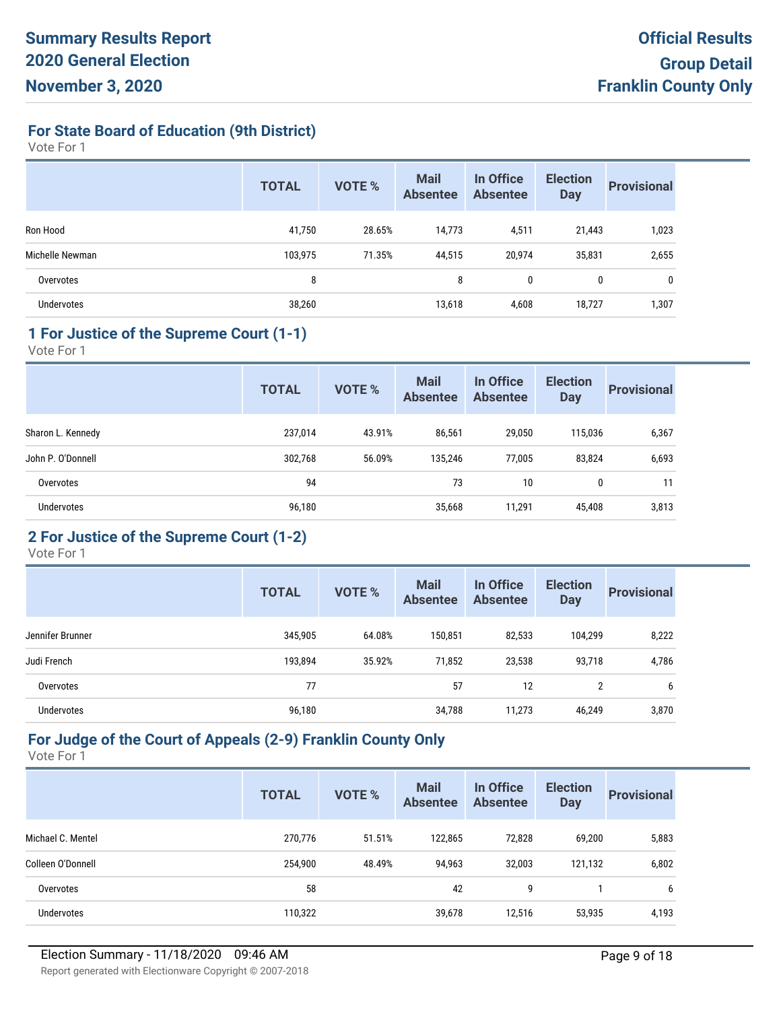**For State Board of Education (9th District)**

Vote For 1

|                   | <b>TOTAL</b> | <b>VOTE %</b> | <b>Mail</b><br><b>Absentee</b> | In Office<br><b>Absentee</b> | <b>Election</b><br><b>Day</b> | <b>Provisional</b> |
|-------------------|--------------|---------------|--------------------------------|------------------------------|-------------------------------|--------------------|
| Ron Hood          | 41,750       | 28.65%        | 14,773                         | 4,511                        | 21,443                        | 1,023              |
| Michelle Newman   | 103,975      | 71.35%        | 44,515                         | 20,974                       | 35,831                        | 2,655              |
| Overvotes         | 8            |               | 8                              | 0                            | 0                             | $\mathbf 0$        |
| <b>Undervotes</b> | 38,260       |               | 13,618                         | 4,608                        | 18,727                        | 1,307              |

#### **1 For Justice of the Supreme Court (1-1)**

Vote For 1

|                   | <b>TOTAL</b> | <b>VOTE %</b> | <b>Mail</b><br><b>Absentee</b> | In Office<br><b>Absentee</b> | <b>Election</b><br><b>Day</b> | <b>Provisional</b> |
|-------------------|--------------|---------------|--------------------------------|------------------------------|-------------------------------|--------------------|
| Sharon L. Kennedy | 237,014      | 43.91%        | 86,561                         | 29,050                       | 115,036                       | 6,367              |
| John P. O'Donnell | 302,768      | 56.09%        | 135,246                        | 77,005                       | 83,824                        | 6,693              |
| Overvotes         | 94           |               | 73                             | 10                           | 0                             | 11                 |
| <b>Undervotes</b> | 96,180       |               | 35,668                         | 11,291                       | 45,408                        | 3,813              |

## **2 For Justice of the Supreme Court (1-2)**

Vote For 1

|                   | <b>TOTAL</b> | <b>VOTE %</b> | <b>Mail</b><br><b>Absentee</b> | In Office<br><b>Absentee</b> | <b>Election</b><br><b>Day</b> | <b>Provisional</b> |
|-------------------|--------------|---------------|--------------------------------|------------------------------|-------------------------------|--------------------|
| Jennifer Brunner  | 345,905      | 64.08%        | 150,851                        | 82,533                       | 104,299                       | 8,222              |
| Judi French       | 193,894      | 35.92%        | 71,852                         | 23,538                       | 93,718                        | 4,786              |
| Overvotes         | 77           |               | 57                             | 12                           | $\overline{2}$                | 6                  |
| <b>Undervotes</b> | 96,180       |               | 34,788                         | 11,273                       | 46,249                        | 3,870              |

# **For Judge of the Court of Appeals (2-9) Franklin County Only**

|                   | <b>TOTAL</b> | <b>VOTE %</b> | <b>Mail</b><br><b>Absentee</b> | In Office<br><b>Absentee</b> | <b>Election</b><br><b>Day</b> | <b>Provisional</b> |
|-------------------|--------------|---------------|--------------------------------|------------------------------|-------------------------------|--------------------|
| Michael C. Mentel | 270,776      | 51.51%        | 122,865                        | 72,828                       | 69,200                        | 5,883              |
| Colleen O'Donnell | 254,900      | 48.49%        | 94,963                         | 32,003                       | 121,132                       | 6,802              |
| Overvotes         | 58           |               | 42                             | 9                            |                               | 6                  |
| Undervotes        | 110,322      |               | 39,678                         | 12,516                       | 53,935                        | 4,193              |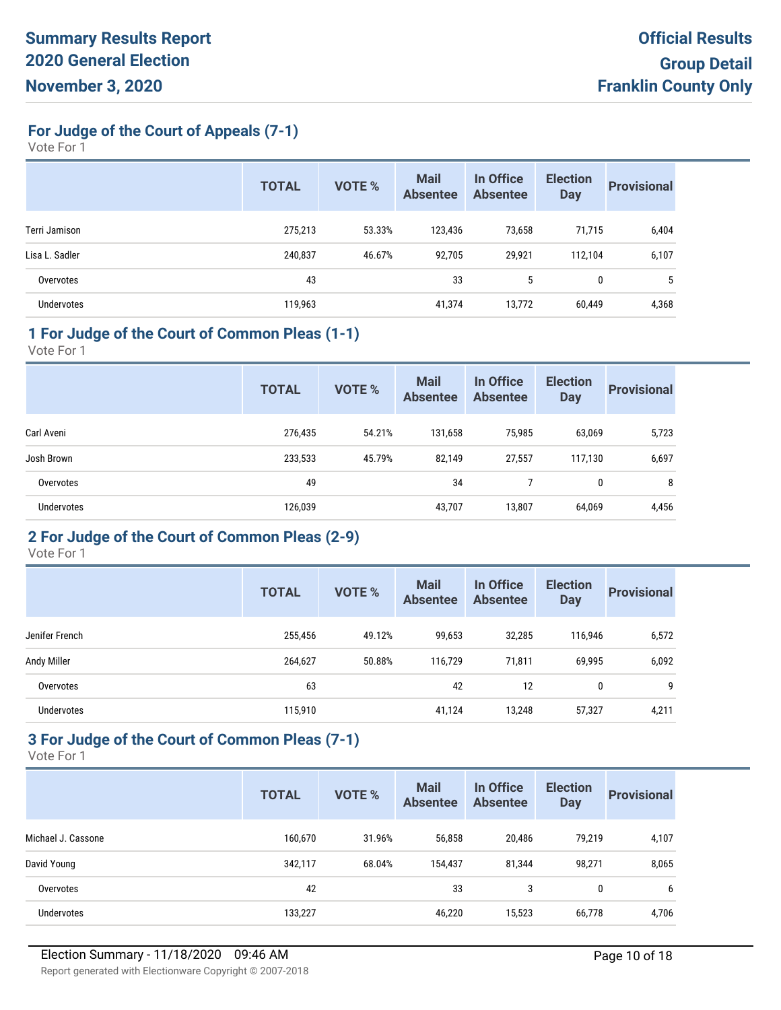**For Judge of the Court of Appeals (7-1)**

Vote For 1

|                | <b>TOTAL</b> | <b>VOTE %</b> | <b>Mail</b><br><b>Absentee</b> | In Office<br><b>Absentee</b> | <b>Election</b><br><b>Day</b> | <b>Provisional</b> |
|----------------|--------------|---------------|--------------------------------|------------------------------|-------------------------------|--------------------|
| Terri Jamison  | 275,213      | 53.33%        | 123,436                        | 73,658                       | 71,715                        | 6,404              |
| Lisa L. Sadler | 240,837      | 46.67%        | 92,705                         | 29,921                       | 112,104                       | 6,107              |
| Overvotes      | 43           |               | 33                             | 5                            | 0                             | 5                  |
| Undervotes     | 119,963      |               | 41,374                         | 13,772                       | 60,449                        | 4,368              |

## **1 For Judge of the Court of Common Pleas (1-1)**

Vote For 1

| <b>TOTAL</b> | <b>VOTE %</b> | <b>Mail</b><br><b>Absentee</b> | In Office<br><b>Absentee</b> | <b>Election</b><br><b>Day</b> | <b>Provisional</b> |
|--------------|---------------|--------------------------------|------------------------------|-------------------------------|--------------------|
| 276,435      | 54.21%        | 131,658                        | 75,985                       | 63,069                        | 5,723              |
| 233,533      | 45.79%        | 82,149                         | 27,557                       | 117,130                       | 6,697              |
| 49           |               | 34                             |                              | 0                             | 8                  |
| 126,039      |               | 43,707                         | 13,807                       | 64,069                        | 4,456              |
|              |               |                                |                              |                               |                    |

#### **2 For Judge of the Court of Common Pleas (2-9)**

Vote For 1

|                | <b>TOTAL</b> | <b>VOTE %</b> | <b>Mail</b><br><b>Absentee</b> | In Office<br><b>Absentee</b> | <b>Election</b><br><b>Day</b> | <b>Provisional</b> |
|----------------|--------------|---------------|--------------------------------|------------------------------|-------------------------------|--------------------|
| Jenifer French | 255,456      | 49.12%        | 99,653                         | 32,285                       | 116,946                       | 6,572              |
| Andy Miller    | 264,627      | 50.88%        | 116,729                        | 71,811                       | 69,995                        | 6,092              |
| Overvotes      | 63           |               | 42                             | 12                           | 0                             | 9                  |
| Undervotes     | 115,910      |               | 41,124                         | 13,248                       | 57,327                        | 4,211              |

## **3 For Judge of the Court of Common Pleas (7-1)**

|                    | <b>TOTAL</b> | <b>VOTE %</b> | <b>Mail</b><br><b>Absentee</b> | In Office<br><b>Absentee</b> | <b>Election</b><br><b>Day</b> | <b>Provisional</b> |
|--------------------|--------------|---------------|--------------------------------|------------------------------|-------------------------------|--------------------|
| Michael J. Cassone | 160,670      | 31.96%        | 56,858                         | 20,486                       | 79,219                        | 4,107              |
| David Young        | 342,117      | 68.04%        | 154,437                        | 81,344                       | 98.271                        | 8,065              |
| Overvotes          | 42           |               | 33                             | 3                            | $\mathbf{0}$                  | 6                  |
| Undervotes         | 133,227      |               | 46,220                         | 15,523                       | 66,778                        | 4,706              |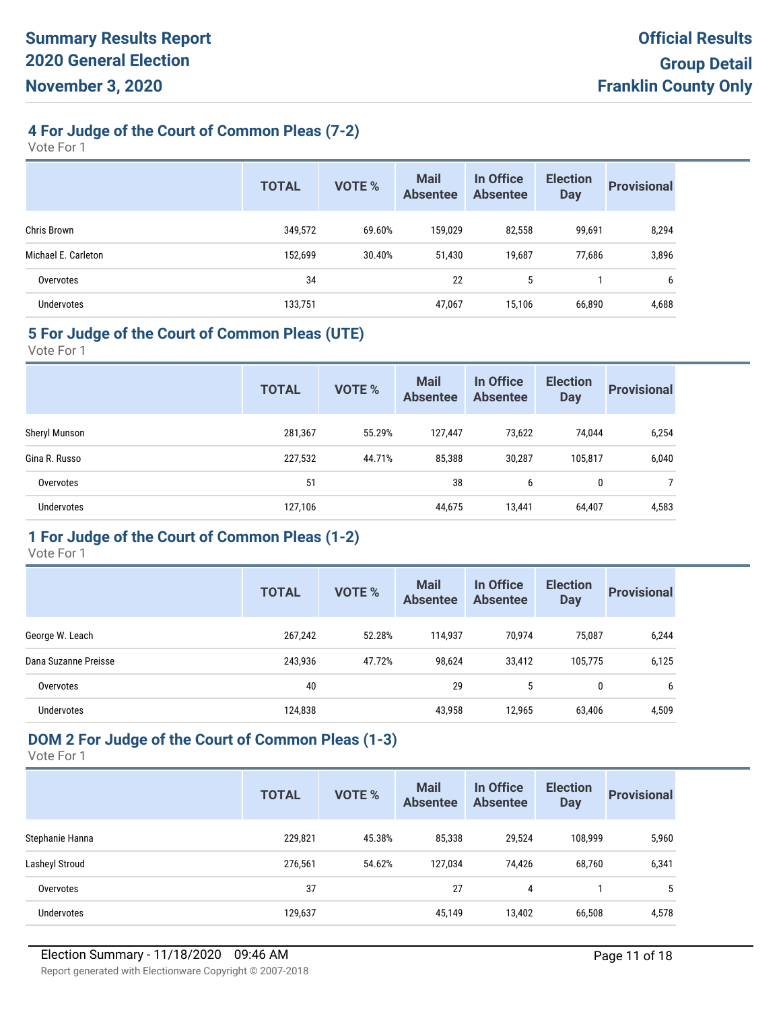## **4 For Judge of the Court of Common Pleas (7-2)**

Vote For 1

|                     | <b>TOTAL</b> | VOTE % | <b>Mail</b><br><b>Absentee</b> | In Office<br><b>Absentee</b> | <b>Election</b><br><b>Day</b> | <b>Provisional</b> |
|---------------------|--------------|--------|--------------------------------|------------------------------|-------------------------------|--------------------|
| Chris Brown         | 349,572      | 69.60% | 159,029                        | 82,558                       | 99,691                        | 8,294              |
| Michael E. Carleton | 152,699      | 30.40% | 51,430                         | 19,687                       | 77,686                        | 3,896              |
| Overvotes           | 34           |        | 22                             | 5                            |                               | 6                  |
| <b>Undervotes</b>   | 133,751      |        | 47,067                         | 15,106                       | 66,890                        | 4,688              |

#### **5 For Judge of the Court of Common Pleas (UTE)**

Vote For 1

|               | <b>TOTAL</b> | <b>VOTE %</b> | <b>Mail</b><br><b>Absentee</b> | In Office<br><b>Absentee</b> | <b>Election</b><br><b>Day</b> | <b>Provisional</b> |
|---------------|--------------|---------------|--------------------------------|------------------------------|-------------------------------|--------------------|
| Sheryl Munson | 281,367      | 55.29%        | 127,447                        | 73,622                       | 74.044                        | 6,254              |
| Gina R. Russo | 227,532      | 44.71%        | 85,388                         | 30,287                       | 105,817                       | 6,040              |
| Overvotes     | 51           |               | 38                             | 6                            | 0                             |                    |
| Undervotes    | 127,106      |               | 44,675                         | 13,441                       | 64,407                        | 4,583              |

## **1 For Judge of the Court of Common Pleas (1-2)**

Vote For 1

|                      | <b>TOTAL</b> | <b>VOTE %</b> | <b>Mail</b><br><b>Absentee</b> | In Office<br><b>Absentee</b> | <b>Election</b><br><b>Day</b> | <b>Provisional</b> |
|----------------------|--------------|---------------|--------------------------------|------------------------------|-------------------------------|--------------------|
| George W. Leach      | 267,242      | 52.28%        | 114,937                        | 70,974                       | 75,087                        | 6,244              |
| Dana Suzanne Preisse | 243,936      | 47.72%        | 98,624                         | 33,412                       | 105,775                       | 6,125              |
| Overvotes            | 40           |               | 29                             | 5                            | 0                             | 6                  |
| Undervotes           | 124,838      |               | 43,958                         | 12,965                       | 63,406                        | 4,509              |

#### **DOM 2 For Judge of the Court of Common Pleas (1-3)**

|                 | <b>TOTAL</b> | <b>VOTE %</b> | <b>Mail</b><br><b>Absentee</b> | In Office<br><b>Absentee</b> | <b>Election</b><br><b>Day</b> | <b>Provisional</b> |
|-----------------|--------------|---------------|--------------------------------|------------------------------|-------------------------------|--------------------|
| Stephanie Hanna | 229,821      | 45.38%        | 85,338                         | 29,524                       | 108,999                       | 5,960              |
| Lasheyl Stroud  | 276,561      | 54.62%        | 127,034                        | 74,426                       | 68,760                        | 6,341              |
| Overvotes       | 37           |               | 27                             | 4                            |                               | 5                  |
| Undervotes      | 129,637      |               | 45,149                         | 13,402                       | 66,508                        | 4,578              |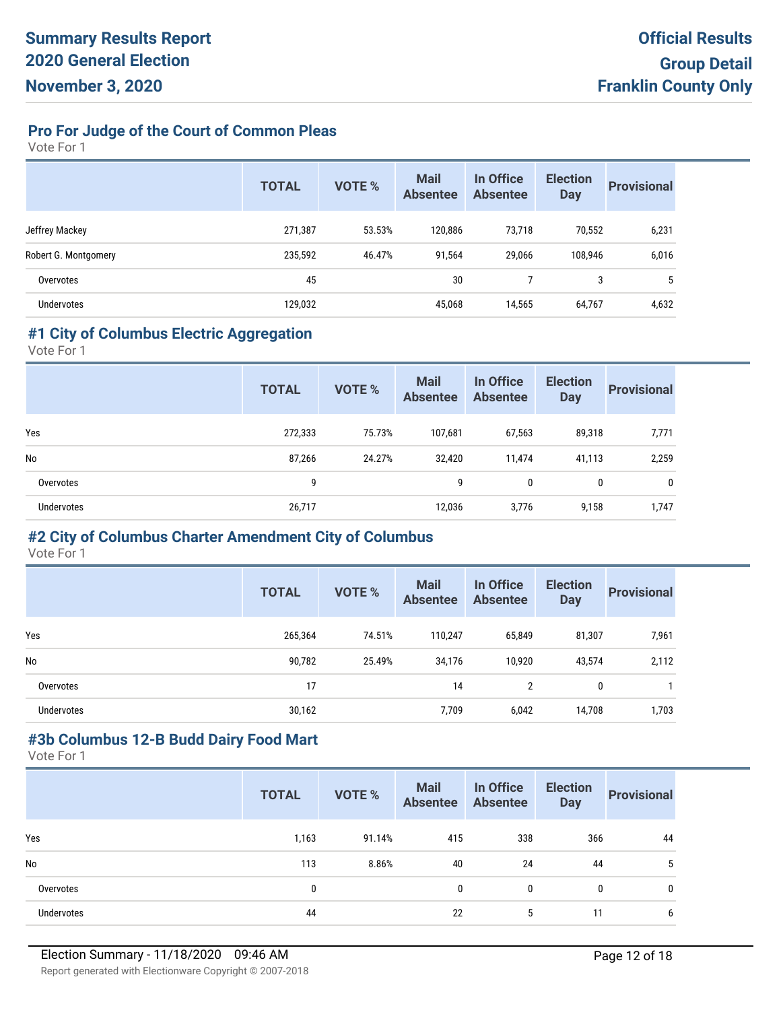**Pro For Judge of the Court of Common Pleas**

Vote For 1

|                      | <b>TOTAL</b> | <b>VOTE %</b> | <b>Mail</b><br><b>Absentee</b> | In Office<br><b>Absentee</b> | <b>Election</b><br><b>Day</b> | <b>Provisional</b> |
|----------------------|--------------|---------------|--------------------------------|------------------------------|-------------------------------|--------------------|
| Jeffrey Mackey       | 271,387      | 53.53%        | 120,886                        | 73,718                       | 70,552                        | 6,231              |
| Robert G. Montgomery | 235,592      | 46.47%        | 91,564                         | 29,066                       | 108,946                       | 6,016              |
| Overvotes            | 45           |               | 30                             |                              | 3                             | 5                  |
| Undervotes           | 129,032      |               | 45,068                         | 14,565                       | 64,767                        | 4,632              |

#### **#1 City of Columbus Electric Aggregation**

Vote For 1

|            | <b>TOTAL</b> | VOTE % | <b>Mail</b><br><b>Absentee</b> | In Office<br><b>Absentee</b> | <b>Election</b><br><b>Day</b> | <b>Provisional</b> |
|------------|--------------|--------|--------------------------------|------------------------------|-------------------------------|--------------------|
| Yes        | 272,333      | 75.73% | 107,681                        | 67,563                       | 89,318                        | 7,771              |
| No         | 87,266       | 24.27% | 32,420                         | 11,474                       | 41,113                        | 2,259              |
| Overvotes  | 9            |        | 9                              | 0                            | $\mathbf{0}$                  | 0                  |
| Undervotes | 26,717       |        | 12,036                         | 3,776                        | 9,158                         | 1,747              |

#### **#2 City of Columbus Charter Amendment City of Columbus**

Vote For 1

|                   | <b>TOTAL</b> | <b>VOTE %</b> | <b>Mail</b><br><b>Absentee</b> | In Office<br><b>Absentee</b> | <b>Election</b><br><b>Day</b> | <b>Provisional</b> |
|-------------------|--------------|---------------|--------------------------------|------------------------------|-------------------------------|--------------------|
| Yes               | 265,364      | 74.51%        | 110,247                        | 65,849                       | 81,307                        | 7,961              |
| No                | 90,782       | 25.49%        | 34,176                         | 10,920                       | 43,574                        | 2,112              |
| Overvotes         | 17           |               | 14                             | $\overline{2}$               | $\mathbf{0}$                  |                    |
| <b>Undervotes</b> | 30,162       |               | 7,709                          | 6,042                        | 14,708                        | 1,703              |

## **#3b Columbus 12-B Budd Dairy Food Mart**

|            | <b>TOTAL</b> | VOTE % | <b>Mail</b><br><b>Absentee</b> | In Office<br><b>Absentee</b> | <b>Election</b><br><b>Day</b> | <b>Provisional</b> |
|------------|--------------|--------|--------------------------------|------------------------------|-------------------------------|--------------------|
| Yes        | 1,163        | 91.14% | 415                            | 338                          | 366                           | 44                 |
| <b>No</b>  | 113          | 8.86%  | 40                             | 24                           | 44                            | 5                  |
| Overvotes  | 0            |        | $\mathbf{0}$                   | 0                            | 0                             | 0                  |
| Undervotes | 44           |        | 22                             | 5                            | 11                            | 6                  |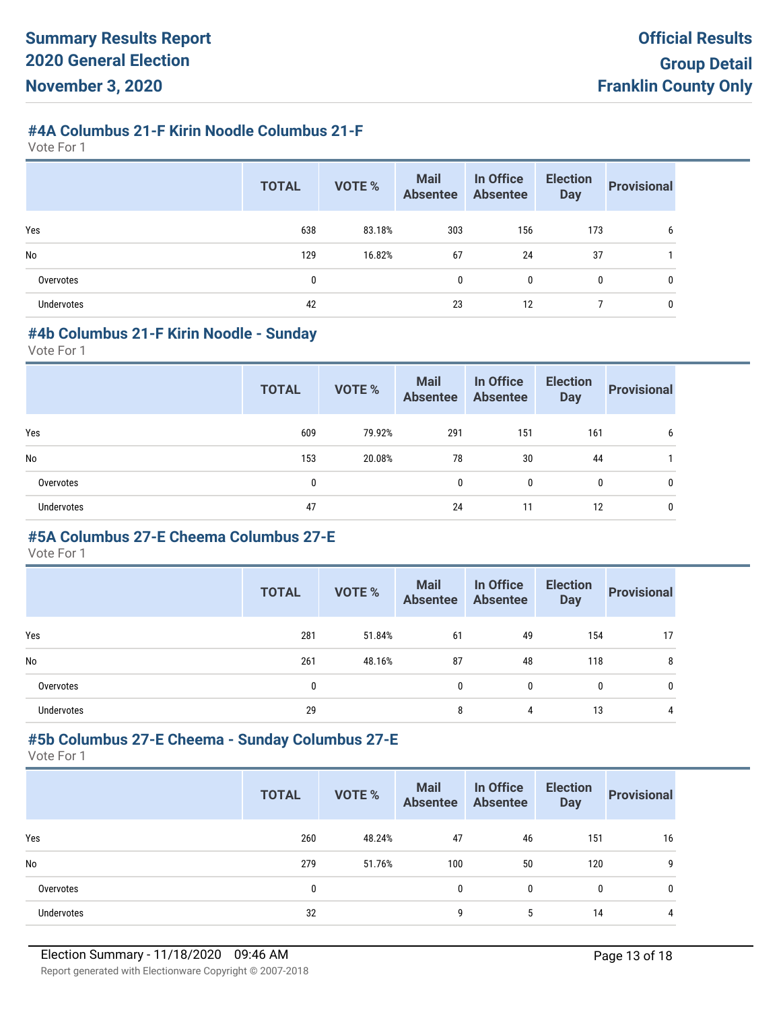#### **#4A Columbus 21-F Kirin Noodle Columbus 21-F**

Vote For 1

|            | <b>TOTAL</b> | <b>VOTE %</b> | <b>Mail</b><br>Absentee | In Office<br><b>Absentee</b> | <b>Election</b><br><b>Day</b> | <b>Provisional</b> |
|------------|--------------|---------------|-------------------------|------------------------------|-------------------------------|--------------------|
| Yes        | 638          | 83.18%        | 303                     | 156                          | 173                           | 6                  |
| No         | 129          | 16.82%        | 67                      | 24                           | 37                            |                    |
| Overvotes  | 0            |               | 0                       | 0                            | 0                             | 0                  |
| Undervotes | 42           |               | 23                      | 12                           |                               | 0                  |

#### **#4b Columbus 21-F Kirin Noodle - Sunday**

Vote For 1

|                   | <b>TOTAL</b> | VOTE % | Mail<br>Absentee | In Office<br><b>Absentee</b> | <b>Election</b><br><b>Day</b> | <b>Provisional</b> |
|-------------------|--------------|--------|------------------|------------------------------|-------------------------------|--------------------|
| Yes               | 609          | 79.92% | 291              | 151                          | 161                           | 6                  |
| No                | 153          | 20.08% | 78               | 30                           | 44                            |                    |
| Overvotes         | 0            |        | $\mathbf{0}$     | 0                            | 0                             | 0                  |
| <b>Undervotes</b> | 47           |        | 24               | 11                           | 12                            | 0                  |

#### **#5A Columbus 27-E Cheema Columbus 27-E**

Vote For 1

|            | <b>TOTAL</b> | <b>VOTE %</b> | <b>Mail</b><br><b>Absentee</b> | In Office<br><b>Absentee</b> | <b>Election</b><br><b>Day</b> | <b>Provisional</b> |
|------------|--------------|---------------|--------------------------------|------------------------------|-------------------------------|--------------------|
| Yes        | 281          | 51.84%        | 61                             | 49                           | 154                           | 17                 |
| <b>No</b>  | 261          | 48.16%        | 87                             | 48                           | 118                           | 8                  |
| Overvotes  | 0            |               | $\mathbf{0}$                   | 0                            | $\mathbf{0}$                  | 0                  |
| Undervotes | 29           |               | 8                              | 4                            | 13                            | 4                  |

## **#5b Columbus 27-E Cheema - Sunday Columbus 27-E**

|                   | <b>TOTAL</b> | <b>VOTE %</b> | <b>Mail</b><br><b>Absentee</b> | In Office<br><b>Absentee</b> | <b>Election</b><br><b>Day</b> | <b>Provisional</b> |
|-------------------|--------------|---------------|--------------------------------|------------------------------|-------------------------------|--------------------|
| Yes               | 260          | 48.24%        | 47                             | 46                           | 151                           | 16                 |
| No                | 279          | 51.76%        | 100                            | 50                           | 120                           | 9                  |
| Overvotes         | 0            |               | $\mathbf{0}$                   | 0                            | 0                             | 0                  |
| <b>Undervotes</b> | 32           |               | 9                              | 5                            | 14                            | 4                  |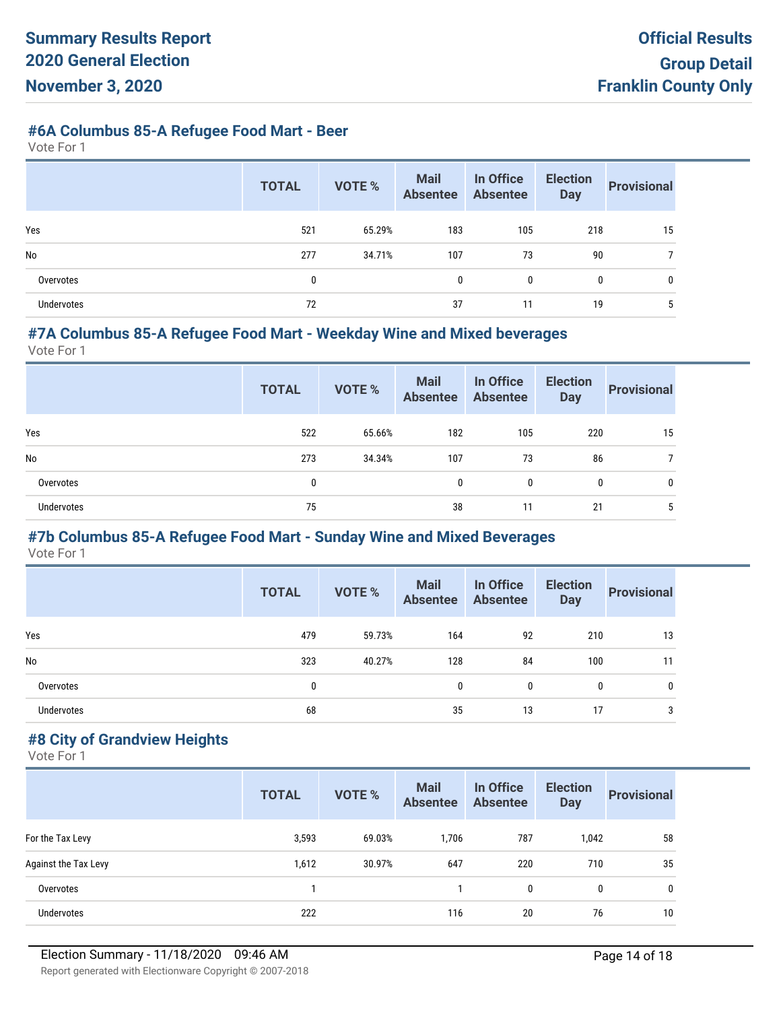#### **#6A Columbus 85-A Refugee Food Mart - Beer**

Vote For 1

|                   | <b>TOTAL</b> | <b>VOTE %</b> | Mail<br>Absentee | In Office<br><b>Absentee</b> | <b>Election</b><br><b>Day</b> | <b>Provisional</b> |
|-------------------|--------------|---------------|------------------|------------------------------|-------------------------------|--------------------|
| Yes               | 521          | 65.29%        | 183              | 105                          | 218                           | 15                 |
| No                | 277          | 34.71%        | 107              | 73                           | 90                            |                    |
| Overvotes         | $\mathbf{0}$ |               | 0                | $\mathbf{0}$                 | 0                             | 0                  |
| <b>Undervotes</b> | 72           |               | 37               | 11                           | 19                            |                    |

#### **#7A Columbus 85-A Refugee Food Mart - Weekday Wine and Mixed beverages**

Vote For 1

|            | <b>TOTAL</b> | VOTE % | <b>Mail</b><br><b>Absentee</b> | In Office<br><b>Absentee</b> | <b>Election</b><br><b>Day</b> | <b>Provisional</b> |
|------------|--------------|--------|--------------------------------|------------------------------|-------------------------------|--------------------|
| Yes        | 522          | 65.66% | 182                            | 105                          | 220                           | 15                 |
| No         | 273          | 34.34% | 107                            | 73                           | 86                            |                    |
| Overvotes  | 0            |        | 0                              | 0                            | 0                             | 0                  |
| Undervotes | 75           |        | 38                             | 11                           | 21                            | 5                  |

#### **#7b Columbus 85-A Refugee Food Mart - Sunday Wine and Mixed Beverages**

Vote For 1

|                   | <b>TOTAL</b> | <b>VOTE %</b> | <b>Mail</b><br><b>Absentee</b> | In Office<br><b>Absentee</b> | <b>Election</b><br><b>Day</b> | <b>Provisional</b> |
|-------------------|--------------|---------------|--------------------------------|------------------------------|-------------------------------|--------------------|
| Yes               | 479          | 59.73%        | 164                            | 92                           | 210                           | 13                 |
| No                | 323          | 40.27%        | 128                            | 84                           | 100                           | 11                 |
| Overvotes         | $\mathbf 0$  |               | 0                              | 0                            | 0                             | 0                  |
| <b>Undervotes</b> | 68           |               | 35                             | 13                           | 17                            | 3                  |

## **#8 City of Grandview Heights**

|                      | <b>TOTAL</b> | <b>VOTE %</b> | <b>Mail</b><br><b>Absentee</b> | In Office<br><b>Absentee</b> | <b>Election</b><br><b>Day</b> | <b>Provisional</b> |
|----------------------|--------------|---------------|--------------------------------|------------------------------|-------------------------------|--------------------|
| For the Tax Levy     | 3,593        | 69.03%        | 1,706                          | 787                          | 1,042                         | 58                 |
| Against the Tax Levy | 1,612        | 30.97%        | 647                            | 220                          | 710                           | 35                 |
| Overvotes            |              |               |                                | 0                            | 0                             | 0                  |
| Undervotes           | 222          |               | 116                            | 20                           | 76                            | 10                 |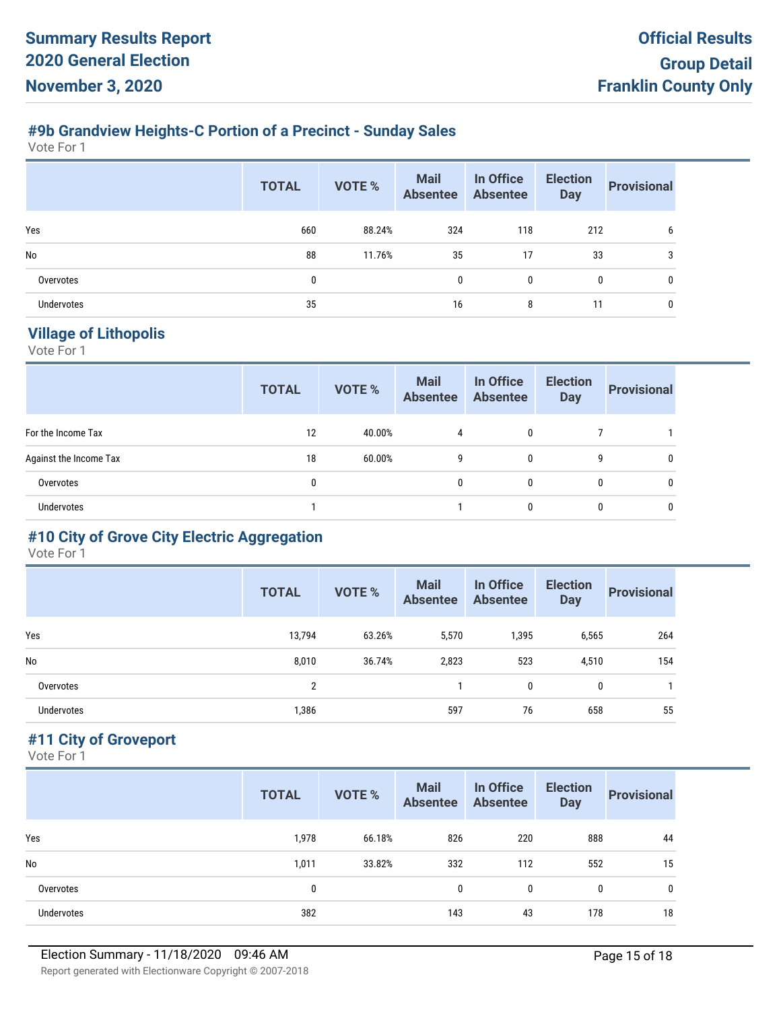#### **#9b Grandview Heights-C Portion of a Precinct - Sunday Sales**

Vote For 1

|            | <b>TOTAL</b> | <b>VOTE %</b> | Mail<br>Absentee | In Office<br><b>Absentee</b> | <b>Election</b><br><b>Day</b> | <b>Provisional</b> |
|------------|--------------|---------------|------------------|------------------------------|-------------------------------|--------------------|
| Yes        | 660          | 88.24%        | 324              | 118                          | 212                           | 6                  |
| No         | 88           | 11.76%        | 35               | 17                           | 33                            | 3                  |
| Overvotes  | $\mathbf 0$  |               | 0                | $\mathbf{0}$                 | 0                             | $\mathbf{0}$       |
| Undervotes | 35           |               | 16               | 8                            | 11                            | $\mathbf{0}$       |

# **Village of Lithopolis**

Vote For 1

|                        | <b>TOTAL</b> | VOTE %    | <b>Mail</b><br><b>Absentee</b> | In Office<br><b>Absentee</b> | <b>Election</b><br><b>Day</b> | <b>Provisional</b> |
|------------------------|--------------|-----------|--------------------------------|------------------------------|-------------------------------|--------------------|
| For the Income Tax     | 12           | 40.00%    | 4                              | 0                            |                               |                    |
| Against the Income Tax | 18           | $60.00\%$ | 9                              | $\mathbf 0$                  | 9                             | 0                  |
| Overvotes              | 0            |           | $\mathbf{0}$                   | 0                            | $\mathbf{0}$                  | 0                  |
| Undervotes             |              |           |                                | 0                            | $\mathbf{0}$                  | 0                  |

# **#10 City of Grove City Electric Aggregation**

Vote For 1

|                   | <b>TOTAL</b> | <b>VOTE %</b> | <b>Mail</b><br><b>Absentee</b> | In Office<br><b>Absentee</b> | <b>Election</b><br><b>Day</b> | <b>Provisional</b> |
|-------------------|--------------|---------------|--------------------------------|------------------------------|-------------------------------|--------------------|
| Yes               | 13,794       | 63.26%        | 5,570                          | 1,395                        | 6,565                         | 264                |
| No                | 8,010        | 36.74%        | 2,823                          | 523                          | 4,510                         | 154                |
| Overvotes         | 2            |               |                                | 0                            | 0                             |                    |
| <b>Undervotes</b> | 1,386        |               | 597                            | 76                           | 658                           | 55                 |

## **#11 City of Groveport**

|                   | <b>TOTAL</b> | VOTE % | <b>Mail</b><br><b>Absentee</b> | In Office<br><b>Absentee</b> | <b>Election</b><br><b>Day</b> | <b>Provisional</b> |
|-------------------|--------------|--------|--------------------------------|------------------------------|-------------------------------|--------------------|
| Yes               | 1,978        | 66.18% | 826                            | 220                          | 888                           | 44                 |
| No                | 1,011        | 33.82% | 332                            | 112                          | 552                           | 15                 |
| Overvotes         | 0            |        | 0                              | 0                            | 0                             | 0                  |
| <b>Undervotes</b> | 382          |        | 143                            | 43                           | 178                           | 18                 |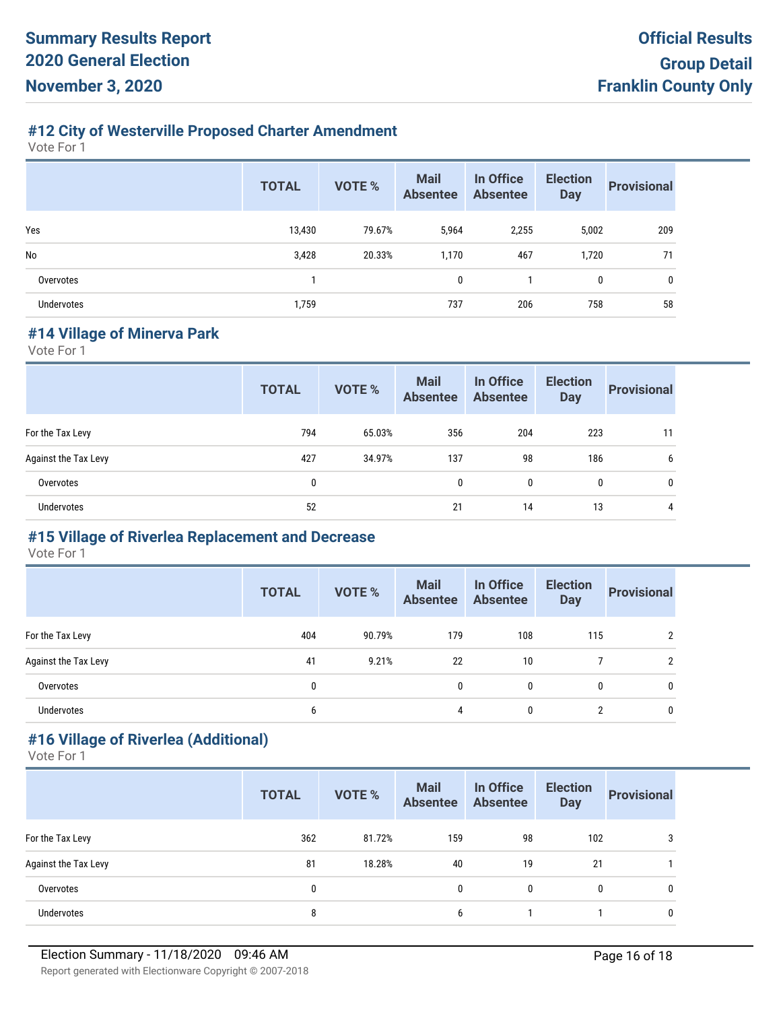#### **#12 City of Westerville Proposed Charter Amendment**

Vote For 1

|                   | <b>TOTAL</b> | <b>VOTE %</b> | <b>Mail</b><br><b>Absentee</b> | In Office<br><b>Absentee</b> | <b>Election</b><br><b>Day</b> | <b>Provisional</b> |
|-------------------|--------------|---------------|--------------------------------|------------------------------|-------------------------------|--------------------|
| Yes               | 13,430       | 79.67%        | 5,964                          | 2,255                        | 5,002                         | 209                |
| No                | 3,428        | 20.33%        | 1,170                          | 467                          | 1,720                         | 71                 |
| Overvotes         |              |               | 0                              |                              | 0                             | $\mathbf 0$        |
| <b>Undervotes</b> | 1,759        |               | 737                            | 206                          | 758                           | 58                 |

#### **#14 Village of Minerva Park**

Vote For 1

|                      | <b>TOTAL</b> | VOTE % | <b>Mail</b><br><b>Absentee</b> | In Office<br><b>Absentee</b> | <b>Election</b><br><b>Day</b> | <b>Provisional</b> |
|----------------------|--------------|--------|--------------------------------|------------------------------|-------------------------------|--------------------|
| For the Tax Levy     | 794          | 65.03% | 356                            | 204                          | 223                           | 11                 |
| Against the Tax Levy | 427          | 34.97% | 137                            | 98                           | 186                           | 6                  |
| Overvotes            | 0            |        | 0                              | 0                            | 0                             | 0                  |
| <b>Undervotes</b>    | 52           |        | 21                             | 14                           | 13                            | 4                  |

#### **#15 Village of Riverlea Replacement and Decrease**

Vote For 1

|                      | <b>TOTAL</b> | <b>VOTE %</b> | <b>Mail</b><br><b>Absentee</b> | In Office<br><b>Absentee</b> | <b>Election</b><br><b>Day</b> | <b>Provisional</b> |
|----------------------|--------------|---------------|--------------------------------|------------------------------|-------------------------------|--------------------|
| For the Tax Levy     | 404          | 90.79%        | 179                            | 108                          | 115                           |                    |
| Against the Tax Levy | 41           | 9.21%         | 22                             | 10                           |                               |                    |
| Overvotes            | 0            |               | 0                              | $\mathbf{0}$                 | 0                             |                    |
| <b>Undervotes</b>    | 6            |               | 4                              | $\mathbf{0}$                 | റ                             |                    |

## **#16 Village of Riverlea (Additional)**

|                      | <b>TOTAL</b> | <b>VOTE %</b> | <b>Mail</b><br><b>Absentee</b> | In Office<br><b>Absentee</b> | <b>Election</b><br><b>Day</b> | <b>Provisional</b> |
|----------------------|--------------|---------------|--------------------------------|------------------------------|-------------------------------|--------------------|
| For the Tax Levy     | 362          | 81.72%        | 159                            | 98                           | 102                           | 3                  |
| Against the Tax Levy | 81           | 18.28%        | 40                             | 19                           | 21                            |                    |
| Overvotes            | 0            |               | 0                              | 0                            | $\mathbf 0$                   | 0                  |
| <b>Undervotes</b>    | 8            |               | 6                              |                              |                               | 0                  |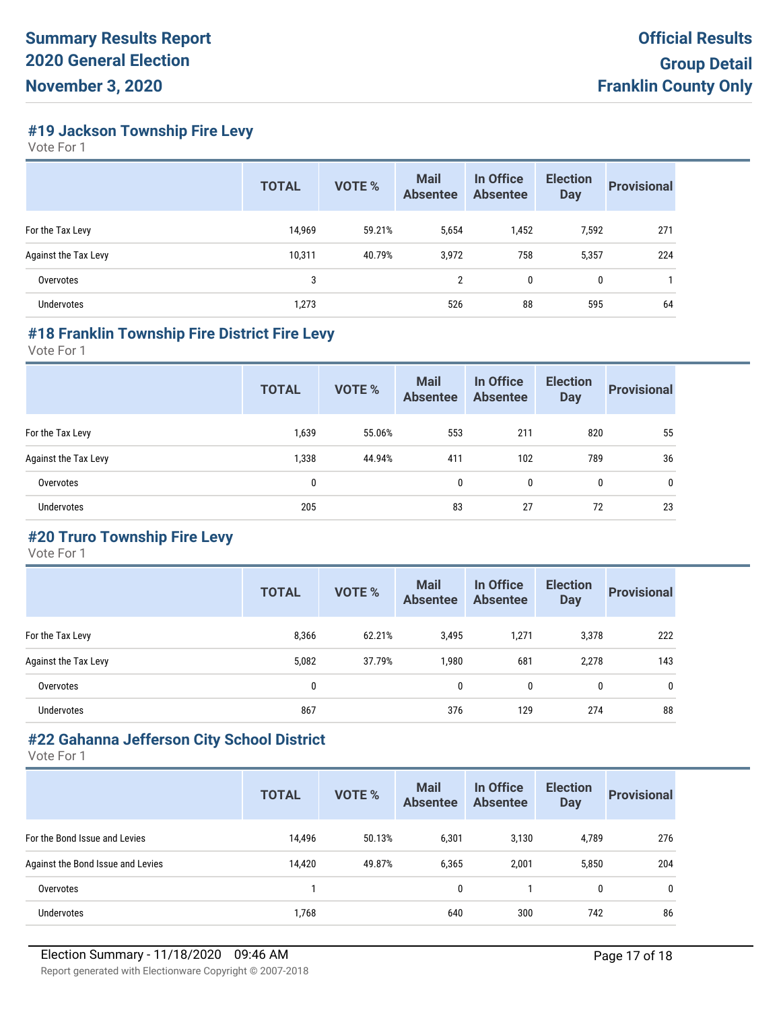**#19 Jackson Township Fire Levy**

Vote For 1

|                             | <b>TOTAL</b> | <b>VOTE %</b> | <b>Mail</b><br><b>Absentee</b> | In Office<br><b>Absentee</b> | <b>Election</b><br><b>Day</b> | <b>Provisional</b> |
|-----------------------------|--------------|---------------|--------------------------------|------------------------------|-------------------------------|--------------------|
| For the Tax Levy            | 14,969       | 59.21%        | 5,654                          | 1,452                        | 7,592                         | 271                |
| <b>Against the Tax Levy</b> | 10,311       | 40.79%        | 3,972                          | 758                          | 5,357                         | 224                |
| Overvotes                   | 3            |               | $\overline{2}$                 | 0                            | 0                             |                    |
| <b>Undervotes</b>           | 1,273        |               | 526                            | 88                           | 595                           | 64                 |

#### **#18 Franklin Township Fire District Fire Levy**

Vote For 1

|                      | <b>TOTAL</b> | <b>VOTE %</b> | <b>Mail</b><br><b>Absentee</b> | In Office<br><b>Absentee</b> | <b>Election</b><br><b>Day</b> | <b>Provisional</b> |
|----------------------|--------------|---------------|--------------------------------|------------------------------|-------------------------------|--------------------|
| For the Tax Levy     | 1,639        | 55.06%        | 553                            | 211                          | 820                           | 55                 |
| Against the Tax Levy | 1,338        | 44.94%        | 411                            | 102                          | 789                           | 36                 |
| Overvotes            | 0            |               | 0                              | 0                            | $\mathbf{0}$                  | 0                  |
| <b>Undervotes</b>    | 205          |               | 83                             | 27                           | 72                            | 23                 |
|                      |              |               |                                |                              |                               |                    |

# **#20 Truro Township Fire Levy**

Vote For 1

|                      | <b>TOTAL</b> | <b>VOTE %</b> | <b>Mail</b><br><b>Absentee</b> | In Office<br><b>Absentee</b> | <b>Election</b><br><b>Day</b> | <b>Provisional</b> |
|----------------------|--------------|---------------|--------------------------------|------------------------------|-------------------------------|--------------------|
| For the Tax Levy     | 8,366        | 62.21%        | 3,495                          | 1,271                        | 3,378                         | 222                |
| Against the Tax Levy | 5,082        | 37.79%        | 1,980                          | 681                          | 2,278                         | 143                |
| Overvotes            | 0            |               | $\mathbf{0}$                   | 0                            | $\mathbf{0}$                  | $\mathbf{0}$       |
| <b>Undervotes</b>    | 867          |               | 376                            | 129                          | 274                           | 88                 |

#### **#22 Gahanna Jefferson City School District**

|                                   | <b>TOTAL</b> | <b>VOTE %</b> | <b>Mail</b><br><b>Absentee</b> | In Office<br><b>Absentee</b> | <b>Election</b><br><b>Day</b> | <b>Provisional</b> |
|-----------------------------------|--------------|---------------|--------------------------------|------------------------------|-------------------------------|--------------------|
| For the Bond Issue and Levies     | 14,496       | 50.13%        | 6,301                          | 3,130                        | 4,789                         | 276                |
| Against the Bond Issue and Levies | 14,420       | 49.87%        | 6,365                          | 2,001                        | 5,850                         | 204                |
| Overvotes                         |              |               | 0                              |                              | 0                             | 0                  |
| Undervotes                        | 1,768        |               | 640                            | 300                          | 742                           | 86                 |